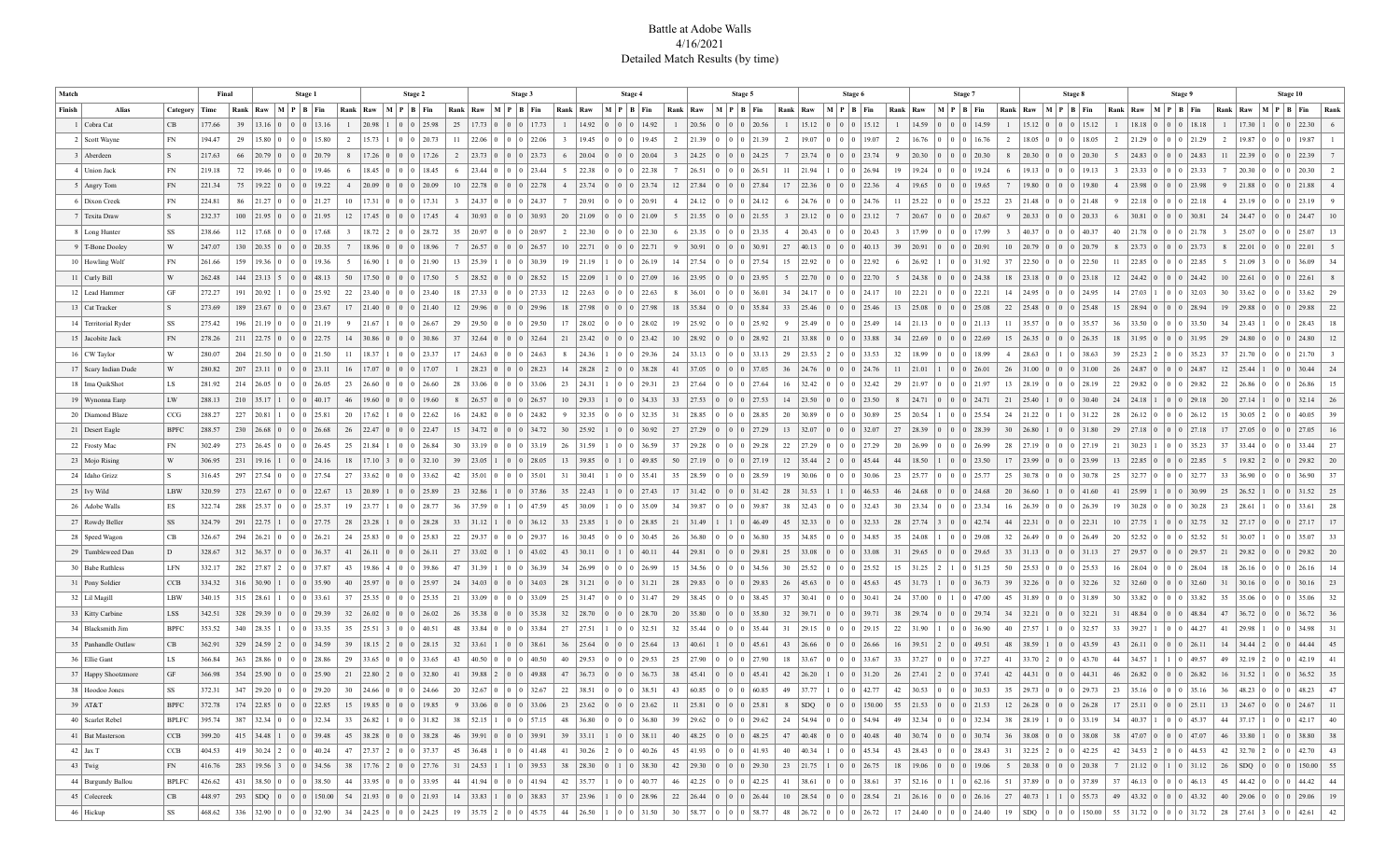## Battle at Adobe Walls 4/16/2021 Detailed Match Results (by time)

|        | Match<br>Final         |              |        |  | Stage 1                           |                       |               |                | Stage 2                                                  |                                        |                       |               |                                                 | Stage 4                |             |                |                    |                |                                                                                          | Stage 5          |       |                                           |                                                                                        | Stage 6        |                  |                 |                                                 | Stage 7      |                                  |                             | Stage 8                   |                         |                                                |                                 | Stage 9                                              |                         |                                                   | Stage 10                                                               |                         |                                                                                        |                                 |                          |
|--------|------------------------|--------------|--------|--|-----------------------------------|-----------------------|---------------|----------------|----------------------------------------------------------|----------------------------------------|-----------------------|---------------|-------------------------------------------------|------------------------|-------------|----------------|--------------------|----------------|------------------------------------------------------------------------------------------|------------------|-------|-------------------------------------------|----------------------------------------------------------------------------------------|----------------|------------------|-----------------|-------------------------------------------------|--------------|----------------------------------|-----------------------------|---------------------------|-------------------------|------------------------------------------------|---------------------------------|------------------------------------------------------|-------------------------|---------------------------------------------------|------------------------------------------------------------------------|-------------------------|----------------------------------------------------------------------------------------|---------------------------------|--------------------------|
| Finish | Alias                  | Category     | Time   |  | Rank   Raw                        | $M$   $P$   $B$   Fin |               |                | Rank   Raw   M   P   B   Fin                             |                                        |                       |               | Rank   Raw   M   P   B   Fin                    |                        |             |                | Rank   Raw         |                | $M$   $P$   $B$   Fin                                                                    | Rank             | Raw   |                                           | $M$   $P$   $B$   Fin                                                                  |                | Rank   Raw       |                 | $\mid M \mid P \mid B \mid Fin$                 |              | Rank   Raw                       | $M$   $P$   $B$   Fin       |                           | Rank   Raw              |                                                | $\mid M \mid P \mid B \mid Fin$ |                                                      |                         | Rank   Raw   M   P   B   Fin                      |                                                                        |                         | Rank   Raw                                                                             | $\mid M \mid P \mid B \mid Fin$ | Rank                     |
|        | 1 Cobra Cat            | CB           | 177.66 |  | $39$   13.16   0   0   0   13.16  |                       |               | $\mathbf{1}$   | 20.98                                                    | $\begin{array}{c} 0 \\ 0 \end{array}$  | 25.98                 | 25            | $17.73$ 0 0 0 17.73                             |                        |             | -1             | 14.92              | $\sqrt{0}$     | 0 14.92                                                                                  | $\mathbf{1}$     | 20.56 |                                           | 0 0 0 20.56                                                                            | $\mathbf{1}$   | 15.12            |                 | 0 0 0 15.12                                     | $\mathbf{1}$ |                                  | $14.59$   0   0   0   14.59 |                           |                         | $1 \mid 15.12 \mid 0 \mid 0 \mid 0 \mid 15.12$ |                                 |                                                      | $\mathbf{1}$            | $18.18$ 0 0 0 18.18                               |                                                                        | $\mathbf{1}$            | $17.30$ 1 0 0 22.30                                                                    |                                 |                          |
|        | 2   Scott Wayne        | FN           | 194.47 |  | 29   15.80                        |                       | $ 0 $ 15.80   | <sup>2</sup>   | 15.73                                                    |                                        | 20.73                 | $_{11}$       | 22.06                                           |                        | $ 0 $ 22.06 |                | 19.45              |                | 19.45                                                                                    | 2                | 21.39 | 0 <sup>10</sup>                           | 21.39                                                                                  | $\overline{2}$ | 19.07            |                 | 19.07                                           |              | 16.76                            | $\overline{0}$              | 16.76                     | <sup>2</sup>            | 18.05                                          |                                 | 18.05                                                | 2                       | 21.29                                             |                                                                        | 21.29                   | 19.87                                                                                  |                                 | 19.87                    |
|        | 3 Aberdeen             | l S          | 217.63 |  | 66   20.79   0                    |                       | 0 20.79       | 8              | $17.26$ 0                                                | $\mathbf{0}$                           | 17.26                 | 2             | 23.73 0 0                                       |                        | 0 23.73     | 6              | 20.04              |                | 0 20.04                                                                                  | $\overline{3}$   | 24.25 |                                           | 0 0 24.25                                                                              |                | 7   23.74        |                 | 0 23.74                                         | 9            | 20.30                            |                             | 0 0 20.30                 | 8                       | $20.30 \mid 0$                                 |                                 | $ 20.30\rangle$                                      | 5 <sup>5</sup>          | $24.83 \mid 0$                                    |                                                                        | 24.83                   | 22.39 0                                                                                | 0 0 22.39                       |                          |
|        | 4 Union Jack           | FN           | 219.18 |  | $72$   19.46   0                  |                       | $ 0 $ 19.46   | - 6            | $18.45 \begin{array}{ c c c c c } 0 & 0 & 0 \end{array}$ |                                        | 18.45                 | -6            | $23.44$   0   0                                 |                        | 0 23.44     | -5             | 22.38              | . G<br>ıΩ      | 0 22.38                                                                                  | 7                | 26.51 | <b>O</b>                                  | 0 0 26.51                                                                              | 11             | 21.94            |                 | 26.94                                           | 19           | 19.24                            |                             | 0 0 19.24                 | -6                      | $19.13 \mid 0$                                 |                                 | 19.13                                                | $\overline{\mathbf{3}}$ | $23.33 \mid 0$                                    | $\overline{0}$                                                         | 23.33                   | $20.30 \mid 0$                                                                         |                                 | 20.30<br>$\overline{2}$  |
|        | 5   Angry Tom          | FN           | 221.34 |  | $75$   19.22   0                  |                       | 0 19.22       | $\overline{4}$ | $ 20.09\rangle$                                          | 0 <sup>10</sup>                        | 20.09                 | 10            | 22.78                                           | $\overline{0}$         | 0 22.78     | $\overline{4}$ | 23.74              |                | 0 23.74                                                                                  | 12               | 27.84 |                                           | 0 0 27.84                                                                              | 17             | 22.36            |                 | 22.36                                           |              | 19.65                            | $\overline{0}$              | 19.65                     |                         | 19.80                                          |                                 | 19.80                                                | $\overline{4}$          | 23.98                                             |                                                                        | 23.98                   | $21.88$ 0                                                                              |                                 | 21.88                    |
|        | 6   Dixon Creek        | FN           | 224.81 |  | 86 21.27                          |                       | 0 21.27       | 10             | 17.31                                                    | 0 <sup>10</sup>                        | 17.31                 | $\mathcal{R}$ | 24.37                                           |                        | 0 24.37     | 7              | 20.91              |                | 0   20.91                                                                                | $\overline{4}$   | 24.12 | 0 <sup>10</sup>                           | 24.12                                                                                  | 6              | 24.76            |                 | $0$   24.76                                     | $_{\rm 11}$  | 25.22                            |                             | 25.22                     | 23                      | 21.48                                          |                                 | 21.48                                                | 9                       | 22.18                                             |                                                                        | 22.18<br>$\overline{4}$ | $23.19$ 0                                                                              |                                 | 23.19                    |
|        | 7 Texita Draw          | S.           | 232.37 |  | $100$   21.95   0                 |                       | 0 0 21.95     | 12             | 17.45 0 0 0                                              |                                        | 17.45                 | 4             | $30.93 \mid 0 \mid 0$                           |                        | 0 30.93     | 20             | 21.09              | l 0 =          | 0 21.09                                                                                  | 5                | 21.55 |                                           | 0   0   0   21.55                                                                      |                | 3   23.12        | 0 <sup>10</sup> | 0 23.12                                         | 7            | 20.67                            |                             | 0 0 20.67                 | 9                       | 20.33 0 0                                      |                                 | $ 20.33\rangle$                                      | 6                       | 30.81                                             | 1010                                                                   | 30.81<br>24             | $24.47$ 0 0                                                                            |                                 | 24.47<br>10 <sup>2</sup> |
|        | 8   Long Hunter        | SS           | 238.66 |  | $112$   17.68                     |                       | 17.68         |                | 18.72                                                    |                                        | 28.72                 | 35            | 20.97                                           |                        | 20.97       | 2              | 22.30              |                | 22.30                                                                                    | 6                | 23.35 | 0 <sup>10</sup>                           | 23.35                                                                                  | 4              | 20.43            |                 | 20.43                                           |              | 17.99                            |                             | 17.99                     | $\overline{\mathbf{3}}$ | 40.37                                          |                                 | 40.37                                                | 40                      | 21.78                                             |                                                                        | 21.78                   | 25.07                                                                                  |                                 | 25.07                    |
|        | 9 T-Bone Dooley        | W            | 247.07 |  | $130 \mid 20.35 \mid 0$           |                       | 0 20.35       | 7              | $18.96 \mid 0$                                           | 0 <sup>10</sup>                        | 18.96                 |               | 26.57                                           |                        | 0 26.57     | 10             | 22.71              | $\sqrt{0}$     | $0$   22.71                                                                              | 9                | 30.91 |                                           | 30.91                                                                                  | 27             | $ 40.13\rangle$  |                 | 40.13                                           |              | 39   20.91                       |                             | 20.91                     | 10                      | 20.79 0                                        |                                 | 20.79                                                | 8                       | $23.73 \mid 0$                                    |                                                                        | 23.73                   | 22.01<br>$\vert 0 \vert$                                                               |                                 | 22.01                    |
|        | 10 Howling Wolf        | FN           | 261.66 |  | $159$   19.36   0                 |                       | $ 0 $ 19.36   | -5             | 16.90                                                    | $\overline{0}$<br>ıΩ                   | 21.90                 | 13            | 25.39                                           | $\overline{0}$<br>l 0. | 30.39       | 19             | 21.19              |                | $0$   26.19                                                                              | 14               | 27.54 | ΙО.                                       | 0 0 27.54                                                                              | 15             | $ 22.92\rangle$  |                 | 22.92                                           | 6            | 26.92                            |                             | 0 0 31.92                 | 37                      | $22.50 \mid 0$                                 |                                 | 22.50                                                | 11                      | 22.85                                             |                                                                        | 22.85<br>-5.            | $21.09$ 3                                                                              |                                 | 36.09<br>34              |
|        | $11$ Curly Bill        | W            | 262.48 |  | $144$   23.13   5                 |                       | $ 0 $ 48.13   | 50             | 17.50                                                    | 0 <sup>10</sup>                        | 17.50                 |               | 28.52                                           | 0 <sup>10</sup>        | 0 28.52     | 15             | 22.09              |                | $0$   27.09                                                                              | 16               | 23.95 |                                           | 0 0 23.95                                                                              |                | $5 \mid 22.70$   |                 | 22.70                                           |              | 24.38                            |                             | 0 0 24.38                 | 18                      | 23.18                                          |                                 | 23.18                                                | 12                      | 24.42                                             |                                                                        | 24.42<br>10             | 22.61<br>$\mathbf{0}$                                                                  |                                 | 22.61                    |
|        | 12 Lead Hammer         | GF           | 272.27 |  | $191$   20.92                     |                       | 0 25.92       | 22             | $ 23.40\rangle$                                          |                                        | 0 0 23.40             | 18            | 27.33                                           |                        | 0 27.33     | 12             | 22.63              |                | $0$   22.63                                                                              | 8                | 36.01 | 0 <sup>10</sup>                           | 36.01                                                                                  |                | $34$   24.17     |                 | $0$   24.17                                     | 10           | 22.21                            |                             | 0 22.21                   | 14                      | 24.95                                          |                                 | 24.95                                                | 14                      | 27.03                                             |                                                                        | 32.03<br>30             | 33.62                                                                                  |                                 | 33.62<br>29              |
|        | 13   Cat Tracker       |              | 273.69 |  | 189   23.67   0   0   0   23.67   |                       |               |                | $17$   21.40   0   0   0   21.40                         |                                        |                       | 12            | 29.96 0 0 0 29.96                               |                        |             | 18             | 27.98              | l 0 =          | 0 27.98                                                                                  | 18               | 35.84 |                                           | 0   0   0   35.84                                                                      |                | $33 \mid 25.46$  |                 | 0   0   0   25.46                               |              | $13 \mid 25.08$                  |                             | 0 0 25.08                 | 22                      | 25.48                                          | 10 IO                           | 0   25.48                                            | 15                      | $28.94$   0   0   0                               |                                                                        | 28.94<br>19             | $29.88$   0                                                                            |                                 | 22<br> 0 29.88           |
|        | 14   Territorial Ryder | SS           | 275.42 |  | $196$   21.19                     |                       | $ 0 $ 21.19   | -9             | 21.67                                                    | l 0                                    | 26.67                 | 29            | 29.50                                           |                        | $ 0 $ 29.50 | 17             | 28.02              |                | 28.02                                                                                    | 19               | 25.92 | 0 <sup>10</sup>                           | 25.92                                                                                  | 9              | $ 25.49\rangle$  |                 | $ 25.49\rangle$                                 | 14           | 21.13                            |                             | 21.13<br>$\overline{0}$   | 11                      | 35.57                                          |                                 | 35.57                                                | 36                      | 33.50                                             |                                                                        | 33.50<br>34             | 23.43                                                                                  |                                 | 28.43<br>18              |
|        | 15 Jacobite Jack       | FN           | 278.26 |  | $211$   22.75   0                 |                       | 0 22.75       | 14             | 30.86                                                    | $\begin{array}{c c} 0 & 0 \end{array}$ | 30.86                 | 37            | $32.64$   0   0                                 |                        | 0 32.64     | 21             | 23.42              |                | $0 \mid 23.42$                                                                           | 10 <sup>10</sup> | 28.92 |                                           | 28.92                                                                                  | 21             | 33.88            |                 | 0 33.88                                         |              | 34   22.69                       |                             | 0 0 22.69                 | 15                      | 26.35 0                                        |                                 | 26.35                                                | 18                      | $31.95 \mid 0$                                    |                                                                        | 31.95<br>29             | 24.80 0                                                                                |                                 | 24.80<br>12              |
|        | 16   CW Taylor         | W            | 280.07 |  | $204$   21.50   0                 |                       | 0 21.50       | 11             | 18.37                                                    | 0 <sup>1</sup>                         | 23.37                 | 17            | 24.63 0 0                                       |                        | 0 24.63     | -8             | 24.36              |                | $0$   29.36                                                                              | 24               | 33.13 | 0 <sup>10</sup><br>$\overline{0}$         | 33.13                                                                                  | 29             | $ 23.53\rangle$  |                 | 33.53                                           | 32           | 18.99                            | 1010                        | 18.99                     | 4                       | 28.63<br>ΙOΓ                                   |                                 | 38.63                                                | 39                      | 25.23                                             |                                                                        | 35.23<br>37             | $21.70 \,   \, 0$                                                                      |                                 | 21.70<br>$\mathcal{F}$   |
|        | 17   Scary Indian Dude | W            | 280.82 |  | $207$ 23.11                       |                       | 0 23.11       | 16             | 17.07                                                    | l 0                                    | 17.07                 |               | 28.23                                           | 10.                    | 28.23       | 14             | 28.28              |                | 38.28                                                                                    | 41               | 37.05 |                                           | 0 0 37.05                                                                              | 36             | 24.76            |                 | 24.76                                           |              | 21.01                            | $\vert 0 \rangle$           | 26.01                     | 26                      | 31.00                                          |                                 | 31.00                                                | 26                      | 24.87                                             |                                                                        | 24.87<br>12             | 25.44                                                                                  |                                 | 24<br>30.44              |
|        | 18   Ima QuikShot      | LS           | 281.92 |  | $214$   26.05   0                 |                       | 0 26.05       | 23             | 26.60                                                    |                                        | $0 \mid 0 \mid 26.60$ | 28            | 33.06                                           |                        | 0 33.06     | 23             | 24.31              |                | 29.31                                                                                    | 23               | 27.64 | 0 <sup>10</sup>                           | 27.64                                                                                  | 16             | 32.42            |                 | $0 \mid 32.42$                                  | 29           | 21.97                            |                             | 0 21.97                   | 13                      | 28.19                                          |                                 | 28.19                                                | 22                      | 29.82                                             |                                                                        | 29.82<br>22             | 26.86                                                                                  |                                 | 26.86<br>15              |
|        | 19   Wynonna Earp      | LW           | 288.13 |  | $210$   35.17   1                 |                       | 0 0 40.17     | 46             | $19.60$   0   0   0                                      |                                        | 19.60                 | 8             | 26.57 0 0                                       |                        | 0 26.57     | 10             | 29.33              | $\overline{0}$ | $ 0 $ 34.33                                                                              | 33               | 27.53 |                                           | 0 0 0 27.53                                                                            |                | $14 \quad 23.50$ |                 | 0   0   0   23.50                               | 8            | 24.71                            |                             | 0 0 24.71                 | 21                      | 25.40                                          | $\overline{0}$                  | 30.40                                                | 24                      | 24.18                                             | 1010                                                                   | 20<br>29.18             | $27.14$   1                                                                            | $\overline{0}$                  | $ 0 $ 32.14<br>26        |
|        | 20   Diamond Blaze     | CCG          | 288.27 |  | $227$   20.81                     |                       | $ 0 $ 25.81   | 20             | 17.62                                                    | l 0                                    | 22.62                 | 16            | 24.82                                           |                        | $ 0 $ 24.82 |                | 32.35              |                | 32.35                                                                                    | 31               | 28.85 | 0 <sup>10</sup>                           | 28.85                                                                                  | 20             | $ 30.89\rangle$  |                 | 30.89                                           | 25           | 20.54                            |                             | 25.54                     | 24                      | 21.22                                          |                                 | 31.22                                                | 28                      | 26.12                                             |                                                                        | 26.12                   | 30.05                                                                                  |                                 | 40.05<br>39              |
|        | 21   Desert Eagle      | <b>BPFC</b>  | 288.57 |  | $230 \mid 26.68 \mid 0$           |                       | 0 26.68       | 26             | 22.47                                                    |                                        | 0 0 0 22.47           | 15            | $34.72 \,   \, 0$                               |                        | 34.72       | 30             | 25.92              |                | 30.92                                                                                    | 27               | 27.29 |                                           | 27.29                                                                                  |                | $13 \quad 32.07$ |                 | 32.07                                           |              | 27   28.39                       |                             | 0 0 28.39                 | 30                      | 26.80                                          |                                 | 31.80                                                | 29                      | $27.18$ 0                                         |                                                                        | 27.18<br>17             | $27.05 \,   \, 0$                                                                      |                                 | 27.05<br>16              |
|        | 22 Frosty Mac          | FN           | 302.49 |  | $273$   26.45   0                 |                       | 0 26.45       | 25             | 21.84                                                    | 10.<br>ıΩ                              | 26.84                 | 30            | 33.19 0                                         | l 0.<br>$\Box$         | 33.19       | 26             | 31.59              |                | 36.59                                                                                    | 37               | 29.28 |                                           | 0 0 29.28                                                                              | 22             | 27.29            |                 | 27.29                                           | 20           | 26.99                            | $0+0$                       | 126.99                    | - 28                    | 27.19 0                                        |                                 | 27.19                                                | 21                      | 30.23                                             |                                                                        | 35.23<br>37             | $33.44 \mid 0$                                                                         |                                 | 27<br>33.44              |
|        | 23   Mojo Rising       | W            | 306.95 |  | $231$   19.16                     |                       | $ 0 $ 24.16   | 18             | 17.10                                                    | $\overline{0}$                         | 32.10                 | 39            | 23.05                                           |                        | 28.05       | 13             | 39.85              |                | 49.85                                                                                    | 50               | 27.19 | 0 <sup>10</sup>                           | 27.19                                                                                  | 12             | 35.44            |                 | 45.44                                           | 44           | 18.50                            |                             | 23.50                     | 17                      | 23.99                                          |                                 | 23.99                                                | 13                      | 22.85                                             |                                                                        | 22.85                   | 19.82                                                                                  |                                 | 20<br>29.82              |
|        | 24 Idaho Grizz         | l S          | 316.45 |  | 297 27.54                         |                       | 0 27.54       | 27             | 33.62                                                    |                                        | 0 0 33.62             | 42            | 35.01                                           | $\overline{0}$         | 35.01       | 31             | 30.41              |                | 0   35.41                                                                                | 35               | 28.59 | 0 <sup>10</sup>                           | 28.59                                                                                  | 19             | 30.06            |                 | 30.06                                           | 23           | 25.77                            |                             | 25.77                     | 25                      | 30.78                                          |                                 | 30.78                                                | 25                      | 32.77                                             |                                                                        | 32.77<br>33             | $36.90 \mid 0$                                                                         |                                 | 36.90<br>37              |
|        | $25$ Ivy Wild          | LBW          | 320.59 |  | $273$   22.67   0                 |                       | 0 0 22.67     |                | $13 \mid 20.89 \mid$                                     |                                        | 0 0 25.89             | 23            | $32.86$   1   0   0   37.86                     |                        |             | 35             | 22.43              | $\overline{0}$ | 0 27.43                                                                                  | 17               | 31.42 |                                           | 0 0 0 31.42                                                                            | 28             | 31.53            |                 | $ 46.53\rangle$<br>$\perp$ 0                    |              | 46 24.68                         |                             | 0 0 24.68                 | 20                      | 36.60                                          | $\overline{0}$                  | 0   41.60                                            | 41                      | 25.99                                             | 1010                                                                   | 30.99<br>25             | $26.52$   1                                                                            | $\overline{0}$                  | 0 31.52<br>25            |
|        | 26   Adobe Walls       | ES           | 322.74 |  | 288 25.37                         |                       | 0 25.37       | 19             | 23.77                                                    | l 0                                    | 28.77                 | 36            | 37.59                                           |                        | 47.59       | 45             | 30.09              |                | 0   35.09                                                                                | 34               | 39.87 | 0 <sup>10</sup>                           | 39.87                                                                                  | 38             | 32.43            |                 | 32.43                                           | 30           | 23.34                            |                             | 23.34<br>$\overline{0}$   | 16                      | 26.39                                          |                                 | 26.39                                                | 19                      | 30.28                                             |                                                                        | 30.28<br>23             | 28.61                                                                                  |                                 | 33.61<br>28              |
|        | 27 Rowdy Beller        | SS           | 324.79 |  | $291$   22.75   1                 |                       | 0 27.75       | 28             | 23.28                                                    | 0 <sup>10</sup>                        | 28.28                 | 33            | $31.12$   1                                     |                        | 36.12       | 33             | 23.85              |                | $0$   28.85                                                                              | 21               | 31.49 |                                           | 46.49                                                                                  | 45             | 32.33            |                 | 32.33                                           | 28           | 27.74                            | 0 <sup>10</sup>             | 42.74                     | 44                      | 22.31<br>$\vert 0 \vert$                       |                                 | 22.31                                                | 10                      | 27.75                                             |                                                                        | 32.75<br>32             | $27.17$ 0                                                                              |                                 | 27.17<br>17              |
|        | 28   Speed Wagon       | CB           | 326.67 |  | $294$   26.21   0                 |                       | 0 26.21       | 24             | $ 25.83\rangle$                                          | $\overline{0}$<br>ıΩ                   | 25.83                 | 22            | 29.37 0                                         | $\overline{0}$<br>l 0  | 29.37       | 16             | 30.45              | ıΩ             | 0   30.45                                                                                | 26               | 36.80 | 1010                                      | 36.80                                                                                  | 35             | 34.85            |                 | 34.85                                           | 35           | 24.08                            | 0 <sup>10</sup>             | 129.08                    | 32                      | 26.49<br>ΙOΓ                                   |                                 | 26.49                                                | 20                      | 52.52                                             |                                                                        | 52.52<br>51             | 30.07                                                                                  |                                 | 35.07<br>33              |
|        | 29 Tumbleweed Dan      | D            | 328.67 |  | $312$   36.37                     |                       | 0 36.37       | 41             | 26.11                                                    | 1010                                   | 26.11                 | 27            | 33.02                                           |                        | 43.02       | 43             | 30.11              |                | 40.11                                                                                    | 44               | 29.81 | 0 <sup>10</sup>                           | 29.81                                                                                  | 25             | 33.08            |                 | 33.08                                           |              | 29.65                            |                             | 29.65                     | 33                      | 31.13                                          |                                 | 31.13                                                | 27                      | 29.57                                             |                                                                        | 29.57<br>21             | 29.82                                                                                  |                                 | 29.82<br>20              |
|        | 30   Babe Ruthless     | LFN          | 332.17 |  | 282 27.87                         |                       | 0 37.87       | 43             | 19.86                                                    |                                        | 39.86                 | 47            | 31.39                                           |                        | 36.39       | 34             | 26.99              |                | 26.99                                                                                    | 15               | 34.56 |                                           | 34.56                                                                                  | 30             | $ 25.52\rangle$  |                 | $0$   25.52                                     | 15           | 31.25                            |                             | 51.25                     | 50                      | 25.53                                          |                                 | 25.53                                                | 16                      | 28.04                                             |                                                                        | 28.04<br>18             | $26.16 \mid 0$                                                                         |                                 | 26.16<br>14              |
|        | 31   Pony Soldier      | CCB          | 334.32 |  | $316$ 30.90 1                     |                       | 0 0 35.90     | 40             | 25.97                                                    |                                        | 0 0 0 25.97           | 24            | $34.03 \mid 0 \mid 0$                           |                        | 0 34.03     | 28             | 31.21              | $\sqrt{0}$     | 0 31.21                                                                                  | 28               | 29.83 |                                           | 0   0   0   29.83                                                                      | 26             | $ 45.63\rangle$  | 0 0 0           | 45.63                                           |              | $45 \mid 31.73$                  |                             | 0 0 36.73                 | 39                      | 32.26<br>$\overline{0}$                        |                                 | 0   32.26                                            | 32                      | $32.60 \,   \, 0$                                 | 1010                                                                   | 32.60<br>31             | $30.16 \mid 0$                                                                         |                                 | 30.16<br>23              |
|        | 32 Lil Magill          | LBW          | 340.15 |  | $315$   28.61                     |                       | $ 0 $ 33.61   | 37             | 25.35                                                    | l 0                                    | 25.35                 | 21            | 33.09                                           |                        | $ 0 $ 33.09 | 25             | 31.47              |                | 0   31.47                                                                                | 29               | 38.45 | 0 <sup>10</sup>                           | 38.45                                                                                  | 37             | 30.41            |                 | 30.41                                           | 24           | 37.00                            |                             | $\vert 0 \vert$<br> 47.00 | 45                      | 31.89                                          |                                 | 31.89                                                | 30                      | 33.82                                             |                                                                        | 33.82<br>35             | 35.06                                                                                  |                                 | 35.06<br>32              |
|        | 33   Kitty Carbine     | <b>LSS</b>   | 342.51 |  | $328$   29.39   0                 |                       | 0 29.39       | 32             | $\vert 26.02 \vert 0 \vert 0 \vert 0 \vert 26.02$        |                                        |                       | 26            | $35.38 \,   \, 0$                               | $\overline{0}$         | 35.38       | 32             | 28.70              | $\overline{0}$ | $0$   28.70                                                                              | 20               | 35.80 |                                           | 0 0 35.80                                                                              | 32             | 39.71            |                 | 39.71                                           |              | $38$   29.74                     |                             | 0 0 29.74                 | 34                      | 32.21<br>$\overline{0}$                        |                                 | 32.21                                                | 31                      | $48.84 \mid 0$                                    |                                                                        | 48.84<br>47             | $36.72 \,   \, 0$                                                                      |                                 | 36.72<br>36              |
|        | 34   Blacksmith Jim    | <b>BPFC</b>  | 353.52 |  | $340$   28.35   1                 |                       | 0 33.35       | 35             | 25.51                                                    | $\overline{0}$<br>l 0                  | 40.51                 | 48            | 33.84 0                                         | l 0.<br>$\Box$         | 33.84       | 27             | 27.51              |                | $0$   32.51                                                                              | 32               | 35.44 |                                           | 0 0 35.44                                                                              | 31             | 29.15            |                 | 29.15                                           |              | 22 31.90                         |                             | 36.90                     | 40                      | 27.57                                          |                                 | 32.57                                                | 33                      | 39.27                                             |                                                                        | 44.27<br>41             | $29.98$  1                                                                             |                                 | 34.98<br>31              |
|        | 35 Panhandle Outlaw    | CB           | 362.91 |  | $329$   24.59                     |                       | 0 34.59       | 39             | 18.15                                                    | 0 <sup>10</sup>                        | 28.15                 | 32            | 33.61                                           | 10.                    | 38.61       | 36             | 25.64              |                | 25.64                                                                                    | 13               | 40.61 |                                           | 0 0 45.61                                                                              |                | 43   26.66       |                 | 26.66                                           | 16           | 39.51                            |                             | 49.51                     | 48                      | 38.59                                          |                                 | 43.59                                                | 43                      | 26.11                                             |                                                                        | 26.11                   | 34.44                                                                                  |                                 | 44.44<br>45              |
|        | 36   Ellie Gant        | LS           | 366.84 |  | $363$   28.86   0                 |                       | 0 28.86       | 29             | 33.65                                                    | $\overline{0}$                         | 33.65                 | 43            | 40.50                                           |                        | 40.50       | 40             | 29.53              |                | 29.53                                                                                    | 25               | 27.90 | 0 <sup>10</sup>                           | 27.90                                                                                  | 18             | 33.67            |                 | $0 \mid 33.67$                                  | 33           | 37.27                            |                             | 37.27                     | 41                      | 33.70                                          |                                 | 43.70                                                | 44                      | 34.57                                             |                                                                        | 49.57<br>49             | 32.19                                                                                  |                                 | 42.19<br>41              |
|        | 37   Happy Shootzmore  | GF           | 366.98 |  | $354$   25.90   0                 |                       | 0   0   25.90 | 21             | 22.80                                                    |                                        | 0 0 32.80             | 41            | $39.88$   2                                     |                        | $ 0 $ 49.88 | 47             | 36.73              | <b>0</b>       | 0   36.73                                                                                | 38               | 45.41 |                                           | 0 0 45.41                                                                              |                | 42 26.20         | $\overline{0}$  | 0 31.20                                         | 26           | 27.41                            |                             | 0 37.41                   | 42                      | 44.31<br>$\overline{0}$                        |                                 | 44.31                                                | 46                      | 26.82                                             |                                                                        | 26.82 <br>16            | $31.52$   1                                                                            | $\overline{0}$                  | 36.52<br>35              |
|        | 38 Hoodoo Jones        | SS           | 372.31 |  | $347$   29.20                     |                       | 0 29.20       | 30             | 24.66                                                    |                                        | 0 0 24.66             | 20            | 32.67                                           |                        | 0 32.67     | 22             | 38.51              |                | $ 0 $ 38.51                                                                              | 43               | 60.85 | $\begin{array}{c c} 0 & 0 \\ \end{array}$ | 60.85                                                                                  | 49             | 37.77            |                 | 42.77                                           | 42           | 30.53                            |                             | 30.53                     | 35                      | 29.73                                          |                                 | 29.73                                                | 23                      | 35.16                                             |                                                                        | 35.16<br>36             | 48.23                                                                                  | 0 0 48.23                       | 47                       |
|        | $39$ AT&T              | <b>BPFC</b>  | 372.78 |  | $174$   22.85   0   0   0   22.85 |                       |               |                | $15 \mid 19.85 \mid 0 \mid 0 \mid 0 \mid 19.85$          |                                        |                       | 9             | $33.06$   0   0   0   33.06                     |                        |             |                |                    |                |                                                                                          |                  |       |                                           | 23 23.62 0 0 0 23.62 11 25.81 0 0 0 25.81                                              | 8              | SDQ              | $0$ $0$ $0$     | 150.00                                          |              | 55   21.53   0   0   0   21.53   |                             |                           |                         |                                                |                                 | $12 \mid 26.28 \mid 0 \mid 0 \mid 0 \mid 26.28 \mid$ | 17                      | $\vert 25.11 \vert 0 \vert 0 \vert 0 \vert 25.11$ |                                                                        |                         | $13 \mid 24.67 \mid 0 \mid 0 \mid 0 \mid 24.67 \mid$                                   |                                 | 11                       |
|        | 40 Scarlet Rebel       | <b>BPLFC</b> | 395.74 |  | 387 32.34 0 0 0 32.34             |                       |               |                | 33   26.82   1   0   0   31.82                           |                                        |                       |               | 38   52.15   1   0   0   57.15                  |                        |             | 48             | 36.80              |                | $\begin{array}{ c c c c c c c c } \hline 0 & 0 & 36.80 \ \hline \end{array}$             | 39               | 29.62 |                                           |                                                                                        |                |                  |                 | 24   54.94   0   0   0   54.94                  |              | 49 32.34 0 0 0 32.34             |                             |                           |                         | 38 28.19 1 0 0 33.19                           |                                 |                                                      | 34                      | $40.37$   1                                       | $\begin{array}{ c c c c c } \hline 0 & 0 & 45.37 \ \hline \end{array}$ |                         | 44   37.17   1   0   0   42.17                                                         |                                 | 40                       |
|        | 41   Bat Masterson     | CCB          | 399.20 |  | 415 34.48 1 0 0 39.48             |                       |               | 45             | $38.28$ 0 0 0 38.28                                      |                                        |                       | 46            | $39.91$ 0 0 0 39.91                             |                        |             | 39             | 33.11              | $\vert 0$      | 0 38.11                                                                                  | 40               | 48.25 |                                           | 0 0 0 48.25                                                                            |                |                  |                 | 47   40.48   0   0   0   40.48                  |              | 40   30.74   0                   |                             | 0 0 30.74                 |                         | 36   38.08   0   0   0   38.08                 |                                 |                                                      | 38                      | $47.07$ 0                                         | 0 0 47.07                                                              | 46                      | 33.80 1                                                                                | $\overline{0}$                  | 38<br>38.80              |
|        | $42$ Jax T             | CCB          | 404.53 |  | 419   30.24   2   0   0   40.24   |                       |               |                | 47   27.37   2   0   0   37.37                           |                                        |                       |               | 45 36.48 1 0 0 41.48                            |                        |             | 41             | 30.26              |                | $ 0 $ 40.26                                                                              | 45               | 41.93 |                                           |                                                                                        |                | 40   40.34       |                 | $1 \mid 0 \mid 0 \mid 45.34$                    |              | 43   28.43   0   0   0   28.43   |                             |                           |                         | $31 \mid 32.25 \mid 2$                         |                                 | 0 0 42.25                                            | 42                      | $34.53$   2                                       | $0 \mid 0$                                                             | $ 44.53\rangle$<br>42   | $32.70$ 2                                                                              | 0 0 42.70                       | 43                       |
|        | $43$ Twig              | FN           | 416.76 |  | 283   19.56   3   0   0   34.56   |                       |               |                | 38   17.76   2   0   0   27.76                           |                                        |                       |               | $31 \mid 24.53 \mid 1 \mid 1 \mid 0 \mid 39.53$ |                        |             |                | 38   28.30   0   1 |                | 0 38.30                                                                                  |                  |       |                                           | 42   29.30   0   0   0   29.30                                                         |                |                  |                 | 23   21.75   1   0   0   26.75                  |              | $18$   19.06   0   0   0   19.06 |                             |                           |                         | $5 \mid 20.38 \mid 0 \mid 0 \mid 0 \mid 20.38$ |                                 |                                                      | 7                       | $21.12$ 0 1 0 31.12                               |                                                                        |                         | 26   SDQ   0   0   0   150.00                                                          |                                 | 55                       |
|        | 44   Burgundy Ballou   | <b>BPLFC</b> | 426.62 |  | 431   38.50   0   0   0   38.50   |                       |               | 44             | $33.95$ 0 0 0 33.95                                      |                                        |                       |               | 44 41.94 0 0 0 41.94                            |                        |             | 42             | 35.77              |                | 0 0 40.77                                                                                | 46               | 42.25 |                                           | 0 0 0 42.25                                                                            |                | $41 \mid 38.61$  |                 | 0 0 0 38.61                                     |              | 37   52.16                       |                             | $ 0 $ 62.16               |                         | 51 37.89 0                                     |                                 | 0 0 37.89                                            | 37                      | $46.13 \,   \, 0$                                 | 0 0 46.13                                                              | 45                      | 44.42 0                                                                                | 0 0 44.42                       | 44                       |
|        | 45 Colecreek           | CB           | 448.97 |  | 293   SDQ   0   0   0   150.00    |                       |               |                | $54$   21.93   0   0   0   21.93                         |                                        |                       |               | $14$   33.83   1   0   0   38.83                |                        |             | 37             |                    |                | $\begin{array}{ c c c c c c c c c } \hline 23.96 & 1 & 0 & 0 & 28.96 \hline \end{array}$ | 22               |       |                                           | $\begin{array}{ c c c c c c c c } \hline 26.44 & 0 & 0 & 0 & 26.44 \hline \end{array}$ |                |                  |                 | $10 \mid 28.54 \mid 0 \mid 0 \mid 0 \mid 28.54$ |              | 21   26.16   0   0   0   26.16   |                             |                           |                         | 27 40.73 1 1 0 55.73                           |                                 |                                                      | 49                      | 43.32 0 0 0 43.32                                 |                                                                        | 40                      | $\begin{array}{ c c c c c c c c c } \hline 29.06 & 0 & 0 & 29.06 \ \hline \end{array}$ |                                 | 19                       |
|        | 46 Hickup              | <b>SS</b>    | 468.62 |  | 336 32.90 0 0 0 32.90             |                       |               | 34             | 24.25 0 0 0 24.25                                        |                                        |                       |               | $19$   35.75   2   0   0   45.75                |                        |             | 44             | 26.50              |                | $1 \mid 0 \mid 0 \mid 31.50$                                                             | 30               | 58.77 |                                           | $0 \ 0 \ 0 \ 58.77$                                                                    |                |                  |                 | 48   26.72   0   0   0   26.72                  |              | $17$   24.40   0   0   0   24.40 |                             |                           |                         |                                                |                                 | $19$   SDQ   0   0   0   150.00                      | 55                      | $31.72$ 0 0 0 31.72                               |                                                                        |                         | 28 27.61 3 0 0 42.61                                                                   |                                 | 42                       |